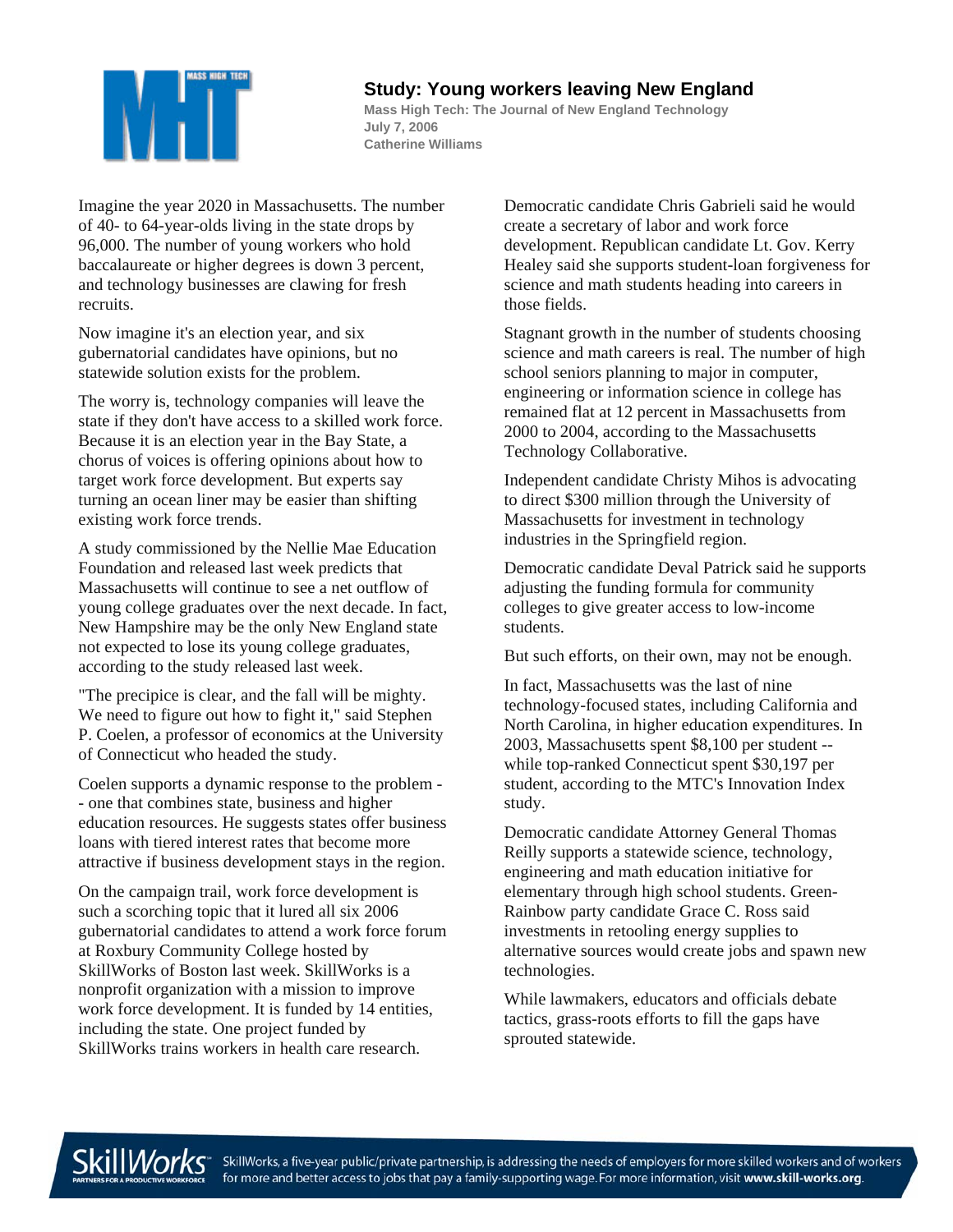

## **Study: Young workers leaving New England**

**Mass High Tech: The Journal of New England Technology July 7, 2006 Catherine Williams** 

Imagine the year 2020 in Massachusetts. The number of 40- to 64-year-olds living in the state drops by 96,000. The number of young workers who hold baccalaureate or higher degrees is down 3 percent, and technology businesses are clawing for fresh recruits.

Now imagine it's an election year, and six gubernatorial candidates have opinions, but no statewide solution exists for the problem.

The worry is, technology companies will leave the state if they don't have access to a skilled work force. Because it is an election year in the Bay State, a chorus of voices is offering opinions about how to target work force development. But experts say turning an ocean liner may be easier than shifting existing work force trends.

A study commissioned by the Nellie Mae Education Foundation and released last week predicts that Massachusetts will continue to see a net outflow of young college graduates over the next decade. In fact, New Hampshire may be the only New England state not expected to lose its young college graduates, according to the study released last week.

"The precipice is clear, and the fall will be mighty. We need to figure out how to fight it," said Stephen P. Coelen, a professor of economics at the University of Connecticut who headed the study.

Coelen supports a dynamic response to the problem - - one that combines state, business and higher education resources. He suggests states offer business loans with tiered interest rates that become more attractive if business development stays in the region.

On the campaign trail, work force development is such a scorching topic that it lured all six 2006 gubernatorial candidates to attend a work force forum at Roxbury Community College hosted by SkillWorks of Boston last week. SkillWorks is a nonprofit organization with a mission to improve work force development. It is funded by 14 entities, including the state. One project funded by SkillWorks trains workers in health care research.

Democratic candidate Chris Gabrieli said he would create a secretary of labor and work force development. Republican candidate Lt. Gov. Kerry Healey said she supports student-loan forgiveness for science and math students heading into careers in those fields.

Stagnant growth in the number of students choosing science and math careers is real. The number of high school seniors planning to major in computer, engineering or information science in college has remained flat at 12 percent in Massachusetts from 2000 to 2004, according to the Massachusetts Technology Collaborative.

Independent candidate Christy Mihos is advocating to direct \$300 million through the University of Massachusetts for investment in technology industries in the Springfield region.

Democratic candidate Deval Patrick said he supports adjusting the funding formula for community colleges to give greater access to low-income students.

But such efforts, on their own, may not be enough.

In fact, Massachusetts was the last of nine technology-focused states, including California and North Carolina, in higher education expenditures. In 2003, Massachusetts spent \$8,100 per student - while top-ranked Connecticut spent \$30,197 per student, according to the MTC's Innovation Index study.

Democratic candidate Attorney General Thomas Reilly supports a statewide science, technology, engineering and math education initiative for elementary through high school students. Green-Rainbow party candidate Grace C. Ross said investments in retooling energy supplies to alternative sources would create jobs and spawn new technologies.

While lawmakers, educators and officials debate tactics, grass-roots efforts to fill the gaps have sprouted statewide.



SkillWorks, a five-year public/private partnership, is addressing the needs of employers for more skilled workers and of workers for more and better access to jobs that pay a family-supporting wage. For more information, visit www.skill-works.org.